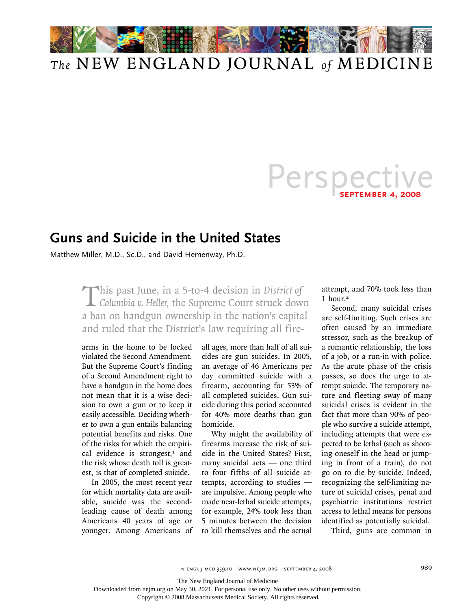

# Persper **september 4, 2008**

### **Guns and Suicide in the United States**

Matthew Miller, M.D., Sc.D., and David Hemenway, Ph.D.

This past June, in a 5-to-4 decision in *District of Columbia v. Heller*, the Supreme Court struck down a ban on handgun ownership in the nation's capital and ruled that the District's law requiring all fire-

arms in the home to be locked violated the Second Amendment. But the Supreme Court's finding of a Second Amendment right to have a handgun in the home does not mean that it is a wise decision to own a gun or to keep it easily accessible. Deciding whether to own a gun entails balancing potential benefits and risks. One of the risks for which the empirical evidence is strongest, $1$  and the risk whose death toll is greatest, is that of completed suicide.

In 2005, the most recent year for which mortality data are available, suicide was the secondleading cause of death among Americans 40 years of age or younger. Among Americans of all ages, more than half of all suicides are gun suicides. In 2005, an average of 46 Americans per day committed suicide with a firearm, accounting for 53% of all completed suicides. Gun suicide during this period accounted for 40% more deaths than gun homicide.

Why might the availability of firearms increase the risk of suicide in the United States? First, many suicidal acts — one third to four fifths of all suicide attempts, according to studies are impulsive. Among people who made near-lethal suicide attempts, for example, 24% took less than 5 minutes between the decision to kill themselves and the actual

attempt, and 70% took less than 1 hour.<sup>2</sup>

Second, many suicidal crises are self-limiting. Such crises are often caused by an immediate stressor, such as the breakup of a romantic relationship, the loss of a job, or a run-in with police. As the acute phase of the crisis passes, so does the urge to attempt suicide. The temporary nature and fleeting sway of many suicidal crises is evident in the fact that more than 90% of people who survive a suicide attempt, including attempts that were expected to be lethal (such as shooting oneself in the head or jumping in front of a train), do not go on to die by suicide. Indeed, recognizing the self-limiting nature of suicidal crises, penal and psychiatric institutions restrict access to lethal means for persons identified as potentially suicidal.

Third, guns are common in

n engl j med 359;10 www.nejm.org september 4, 2008 989

The New England Journal of Medicine

Downloaded from nejm.org on May 30, 2021. For personal use only. No other uses without permission.

Copyright © 2008 Massachusetts Medical Society. All rights reserved.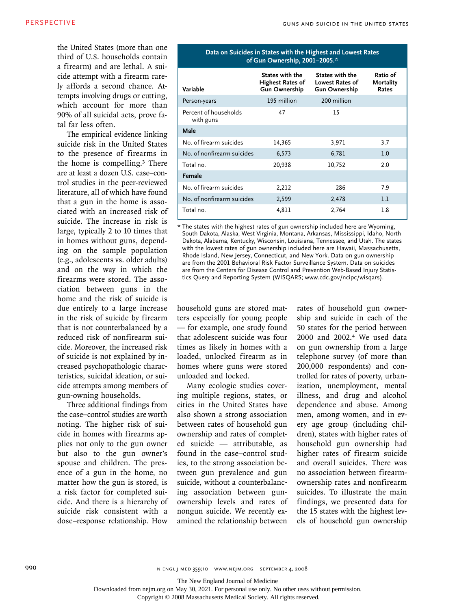the United States (more than one third of U.S. households contain a firearm) and are lethal. A suicide attempt with a firearm rarely affords a second chance. Attempts involving drugs or cutting, which account for more than 90% of all suicidal acts, prove fatal far less often.

The empirical evidence linking suicide risk in the United States to the presence of firearms in the home is compelling.<sup>3</sup> There are at least a dozen U.S. case–control studies in the peer-reviewed literature, all of which have found that a gun in the home is associated with an increased risk of suicide. The increase in risk is large, typically 2 to 10 times that in homes without guns, depending on the sample population (e.g., adolescents vs. older adults) and on the way in which the firearms were stored. The association between guns in the home and the risk of suicide is due entirely to a large increase in the risk of suicide by firearm that is not counterbalanced by a reduced risk of nonfirearm suicide. Moreover, the increased risk of suicide is not explained by increased psychopathologic characteristics, suicidal ideation, or suicide attempts among members of gun-owning households.

Three additional findings from the case–control studies are worth noting. The higher risk of suicide in homes with firearms applies not only to the gun owner but also to the gun owner's spouse and children. The presence of a gun in the home, no matter how the gun is stored, is a risk factor for completed suicide. And there is a hierarchy of suicide risk consistent with a dose–response relationship. How

#### **Data on Suicides in States with the Highest and Lowest Rates of Gun Ownership, 2001–2005.\***

| Variable                           | States with the<br><b>Highest Rates of</b><br><b>Gun Ownership</b> | States with the<br><b>Lowest Rates of</b><br><b>Gun Ownership</b> | Ratio of<br><b>Mortality</b><br>Rates |
|------------------------------------|--------------------------------------------------------------------|-------------------------------------------------------------------|---------------------------------------|
| Person-years                       | 195 million                                                        | 200 million                                                       |                                       |
| Percent of households<br>with guns | 47                                                                 | 15                                                                |                                       |
| Male                               |                                                                    |                                                                   |                                       |
| No. of firearm suicides            | 14,365                                                             | 3,971                                                             | 3.7                                   |
| No. of nonfirearm suicides         | 6,573                                                              | 6,781                                                             | 1.0                                   |
| Total no.                          | 20,938                                                             | 10,752                                                            | 2.0                                   |
| Female                             |                                                                    |                                                                   |                                       |
| No. of firearm suicides            | 2,212                                                              | 286                                                               | 7.9                                   |
| No. of nonfirearm suicides         | 2,599                                                              | 2,478                                                             | 1.1                                   |
| Total no.                          | 4,811                                                              | 2,764                                                             | 1.8                                   |

\* The states with the highest rates of gun ownership included here are Wyoming, South Dakota, Alaska, West Virginia, Montana, Arkansas, Mississippi, Idaho, North Dakota, Alabama, Kentucky, Wisconsin, Louisiana, Tennessee, and Utah. The states with the lowest rates of gun ownership included here are Hawaii, Massachusetts, Rhode Island, New Jersey, Connecticut, and New York. Data on gun ownership are from the 2001 Behavioral Risk Factor Surveillance System. Data on suicides are from the Centers for Disease Control and Prevention Web-Based Injury Statistics Query and Reporting System (WISQARS; www.cdc.gov/ncipc/wisqars).

household guns are stored matters especially for young people — for example, one study found that adolescent suicide was four times as likely in homes with a loaded, unlocked firearm as in homes where guns were stored unloaded and locked.

Many ecologic studies covering multiple regions, states, or cities in the United States have also shown a strong association between rates of household gun ownership and rates of completed suicide — attributable, as found in the case–control studies, to the strong association between gun prevalence and gun suicide, without a counterbalancing association between gunownership levels and rates of nongun suicide. We recently examined the relationship between rates of household gun ownership and suicide in each of the 50 states for the period between 2000 and 2002.4 We used data on gun ownership from a large telephone survey (of more than 200,000 respondents) and controlled for rates of poverty, urbanization, unemployment, mental illness, and drug and alcohol dependence and abuse. Among men, among women, and in every age group (including children), states with higher rates of household gun ownership had higher rates of firearm suicide and overall suicides. There was no association between firearmownership rates and nonfirearm suicides. To illustrate the main findings, we presented data for the 15 states with the highest levels of household gun ownership

990 **n engl j med 359;10 www.nejm.org september 4, 2008** 

The New England Journal of Medicine

Downloaded from nejm.org on May 30, 2021. For personal use only. No other uses without permission.

Copyright © 2008 Massachusetts Medical Society. All rights reserved.